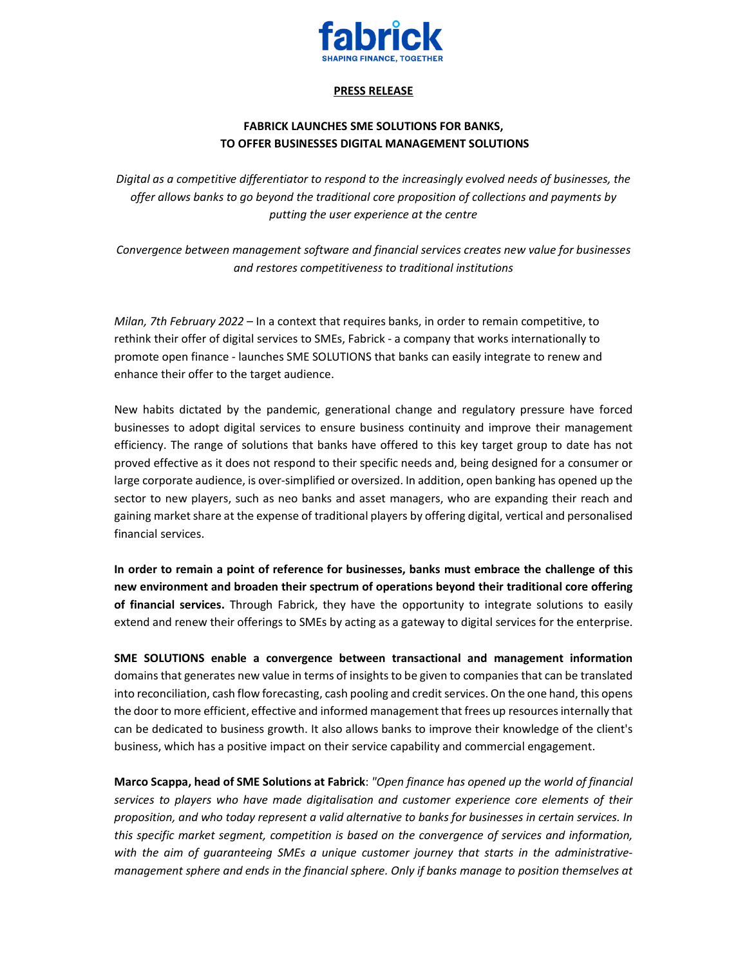

## **PRESS RELEASE**

## **FABRICK LAUNCHES SME SOLUTIONS FOR BANKS, TO OFFER BUSINESSES DIGITAL MANAGEMENT SOLUTIONS**

*Digital as a competitive differentiator to respond to the increasingly evolved needs of businesses, the offer allows banks to go beyond the traditional core proposition of collections and payments by putting the user experience at the centre* 

*Convergence between management software and financial services creates new value for businesses and restores competitiveness to traditional institutions* 

*Milan, 7th February 2022 –* In a context that requires banks, in order to remain competitive, to rethink their offer of digital services to SMEs, Fabrick - a company that works internationally to promote open finance - launches SME SOLUTIONS that banks can easily integrate to renew and enhance their offer to the target audience.

New habits dictated by the pandemic, generational change and regulatory pressure have forced businesses to adopt digital services to ensure business continuity and improve their management efficiency. The range of solutions that banks have offered to this key target group to date has not proved effective as it does not respond to their specific needs and, being designed for a consumer or large corporate audience, is over-simplified or oversized. In addition, open banking has opened up the sector to new players, such as neo banks and asset managers, who are expanding their reach and gaining market share at the expense of traditional players by offering digital, vertical and personalised financial services.

**In order to remain a point of reference for businesses, banks must embrace the challenge of this new environment and broaden their spectrum of operations beyond their traditional core offering of financial services.** Through Fabrick, they have the opportunity to integrate solutions to easily extend and renew their offerings to SMEs by acting as a gateway to digital services for the enterprise.

**SME SOLUTIONS enable a convergence between transactional and management information**  domains that generates new value in terms of insights to be given to companies that can be translated into reconciliation, cash flow forecasting, cash pooling and credit services. On the one hand, this opens the door to more efficient, effective and informed management that frees up resources internally that can be dedicated to business growth. It also allows banks to improve their knowledge of the client's business, which has a positive impact on their service capability and commercial engagement.

**Marco Scappa, head of SME Solutions at Fabrick**: *"Open finance has opened up the world of financial services to players who have made digitalisation and customer experience core elements of their proposition, and who today represent a valid alternative to banks for businesses in certain services. In this specific market segment, competition is based on the convergence of services and information, with the aim of guaranteeing SMEs a unique customer journey that starts in the administrativemanagement sphere and ends in the financial sphere. Only if banks manage to position themselves at*